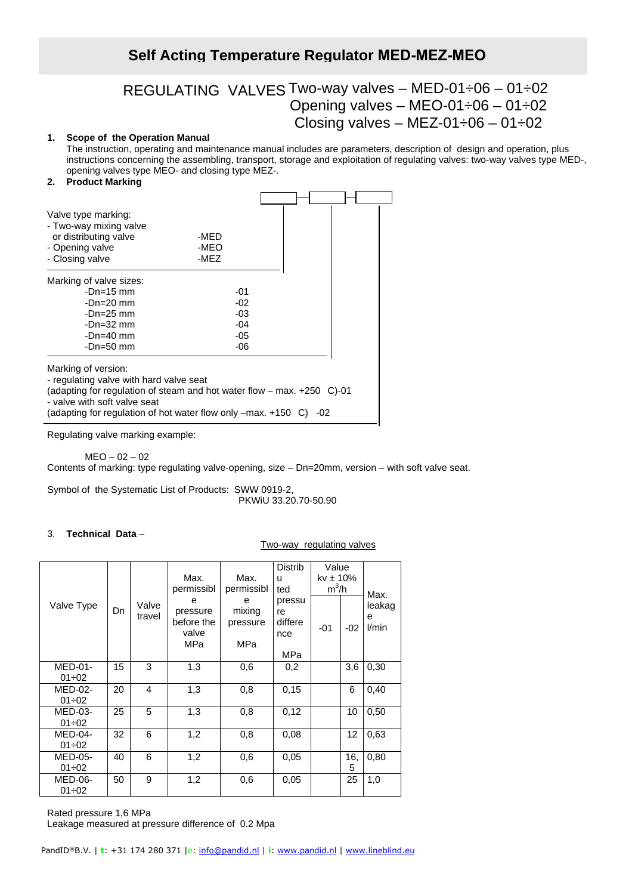# **Self Acting Temperature Regulator MED-MEZ-MEO**

# REGULATING VALVES Two-way valves – MED-01÷06 – 01÷02 Opening valves – MEO-01÷06 – 01÷02 Closing valves – MEZ-01 $\div$ 06 – 01 $\div$ 02

# **1. Scope of the Operation Manual**

The instruction, operating and maintenance manual includes are parameters, description of design and operation, plus instructions concerning the assembling, transport, storage and exploitation of regulating valves: two-way valves type MED-, opening valves type MEO- and closing type MEZ-.

#### **2. Product Marking**

| Valve type marking:<br>- Two-way mixing valve<br>or distributing valve<br>- Opening valve<br>- Closing valve                                                                                                                                | -MED<br>-MEO<br>-MEZ |     |
|---------------------------------------------------------------------------------------------------------------------------------------------------------------------------------------------------------------------------------------------|----------------------|-----|
| Marking of valve sizes:                                                                                                                                                                                                                     |                      |     |
| $-Dn=15$ mm                                                                                                                                                                                                                                 | -01                  |     |
| $-Dn=20$ mm                                                                                                                                                                                                                                 | $-02$                |     |
| $-Dn=25$ mm                                                                                                                                                                                                                                 | -03                  |     |
| -Dn=32 mm                                                                                                                                                                                                                                   | $-04$                |     |
| $-Dn=40$ mm                                                                                                                                                                                                                                 | -05                  |     |
| -Dn=50 mm                                                                                                                                                                                                                                   | -06                  |     |
| Marking of version:<br>- regulating valve with hard valve seat<br>(adapting for regulation of steam and hot water flow - max. +250 C)-01<br>- valve with soft valve seat<br>(adapting for regulation of hot water flow only $-max. +150$ C) |                      | -02 |

Regulating valve marking example:

 $MEO - 02 - 02$ 

Contents of marking: type regulating valve-opening, size – Dn=20mm, version – with soft valve seat.

Symbol of the Systematic List of Products: SWW 0919-2, PKWiU 33.20.70-50.90

#### 3. **Technical Data** –

#### Two-way regulating valves

|                |    |                 | Max.<br>permissibl                          | Max.<br>permissibl             | Distrib<br>u<br>ted                   | Value<br>$kv \pm 10\%$<br>$m^3/h$ |       | Max.                 |
|----------------|----|-----------------|---------------------------------------------|--------------------------------|---------------------------------------|-----------------------------------|-------|----------------------|
| Valve Type     | Dn | Valve<br>travel | е<br>pressure<br>before the<br>valve<br>MPa | е<br>mixing<br>pressure<br>MPa | pressu<br>re<br>differe<br>nce<br>MPa | -01                               | $-02$ | leakag<br>e<br>l/min |
| <b>MED-01-</b> | 15 | 3               | 1,3                                         | 0,6                            | 0,2                                   |                                   | 3,6   | 0,30                 |
| 01÷02          |    |                 |                                             |                                |                                       |                                   |       |                      |
| MED-02-        | 20 | 4               | 1,3                                         | 0,8                            | 0,15                                  |                                   | 6     | 0,40                 |
| $01 \div 02$   |    |                 |                                             |                                |                                       |                                   |       |                      |
| $MED-03-$      | 25 | 5               | 1,3                                         | 0,8                            | 0,12                                  |                                   | 10    | 0,50                 |
| $01 \div 02$   |    |                 |                                             |                                |                                       |                                   |       |                      |
| $MED-04-$      | 32 | 6               | 1,2                                         | 0,8                            | 0,08                                  |                                   | 12    | 0,63                 |
| $01 \div 02$   |    |                 |                                             |                                |                                       |                                   |       |                      |
| <b>MED-05-</b> | 40 | 6               | 1,2                                         | 0,6                            | 0.05                                  |                                   | 16.   | 0,80                 |
| $01 \div 02$   |    |                 |                                             |                                |                                       |                                   | 5     |                      |
| MED-06-        | 50 | 9               | 1,2                                         | 0,6                            | 0,05                                  |                                   | 25    | 1,0                  |
| 01÷02          |    |                 |                                             |                                |                                       |                                   |       |                      |

Rated pressure 1,6 MPa

Leakage measured at pressure difference of 0.2 Mpa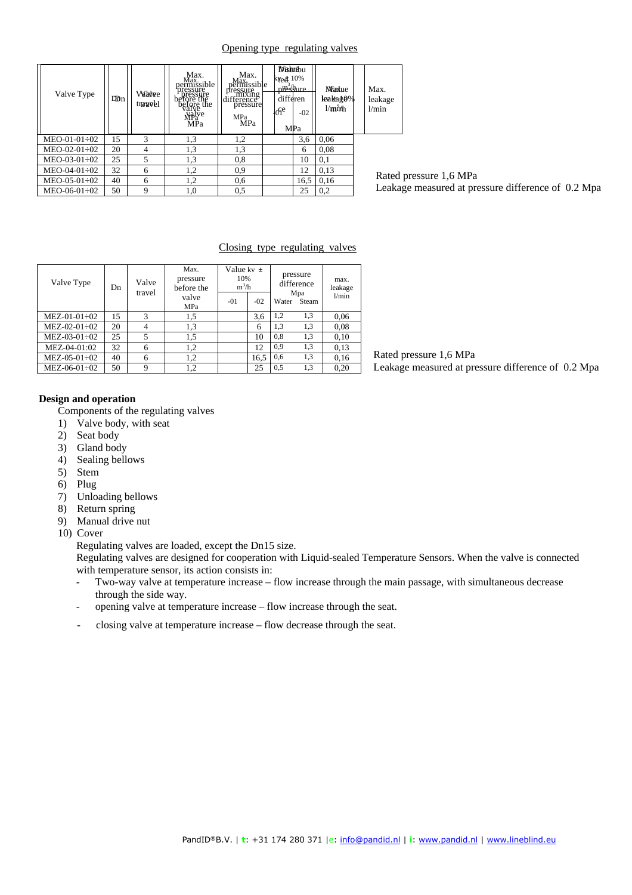#### Opening type regulating valves

| Valve Type     | Didn | <b>Valwee</b><br>tranwell | Max.<br>Max.<br>permissible<br>pressure<br>before the<br>before the<br>valve<br>Walve<br>MPa<br>MPa | Max.<br>Max.<br>permissible<br>I messure<br>Annuxing<br>difference<br>pressure<br><b>MPa</b><br>MPa | <b>Distribu</b><br>$k$ Yed $\pm 10\%$<br>pp <sup>3</sup> shure<br>differen<br>00 <sup>e</sup><br>MPa | $-02$ | <b><i>Warkue</i></b><br>leaka g0%<br>$1/m$ <sub>i</sub> $rh$ | Max.<br>leakage<br>1/min |
|----------------|------|---------------------------|-----------------------------------------------------------------------------------------------------|-----------------------------------------------------------------------------------------------------|------------------------------------------------------------------------------------------------------|-------|--------------------------------------------------------------|--------------------------|
| $MEO-01-01-02$ | 15   | 3                         | 1,3                                                                                                 | 1,2                                                                                                 |                                                                                                      | 3,6   | 0,06                                                         |                          |
| $MEO-02-01-02$ | 20   | 4                         | 1,3                                                                                                 | 1,3                                                                                                 |                                                                                                      | 6     | 0.08                                                         |                          |
| $MEO-03-01-02$ | 25   | 5                         | 1,3                                                                                                 | 0.8                                                                                                 |                                                                                                      | 10    | 0,1                                                          |                          |
| $MEO-04-01-02$ | 32   | 6                         | 1,2                                                                                                 | 0.9                                                                                                 |                                                                                                      | 12    | 0.13                                                         | Rated                    |
| $MEO-05-01-02$ | 40   | 6                         | 1,2                                                                                                 | 0.6                                                                                                 |                                                                                                      | 16,5  | 0.16                                                         |                          |
| $MEO-06-01-02$ | 50   | 9                         | 1,0                                                                                                 | 0.5                                                                                                 |                                                                                                      | 25    | 0,2                                                          | Leaka                    |

pressure 1,6 MPa age measured at pressure difference of 0.2 Mpa

#### Closing type regulating valves

| Valve Type     | Dn | Valve<br>travel | Max.<br>pressure<br>before the<br>valve<br>MPa | Value kv $\pm$<br>10%<br>$m^3/h$<br>$-01$<br>$-02$ |      | pressure<br>difference<br>Mpa<br>Water<br>Steam |     | max.<br>leakage<br>1/min |
|----------------|----|-----------------|------------------------------------------------|----------------------------------------------------|------|-------------------------------------------------|-----|--------------------------|
| $MEZ-01-01-02$ | 15 | 3               | 1,5                                            |                                                    | 3,6  | 1,2                                             | 1,3 | 0.06                     |
| $MEZ-02-01-02$ | 20 | 4               | 1,3                                            |                                                    | 6    | 1,3                                             | 1,3 | 0.08                     |
| $MEZ-03-01-02$ | 25 | 5               | 1,5                                            |                                                    | 10   | 0,8                                             | 1,3 | 0.10                     |
| MEZ-04-01:02   | 32 | 6               | 1,2                                            |                                                    | 12   | 0,9                                             | 1,3 | 0.13                     |
| $MEZ-05-01-02$ | 40 | 6               | 1,2                                            |                                                    | 16,5 | 0.6                                             | 1,3 | 0.16                     |
| $MEZ-06-01-02$ | 50 | 9               | 1,2                                            |                                                    | 25   | 0,5                                             | 1,3 | 0,20                     |

Rated pressure 1,6 MPa Leakage measured at pressure difference of 0.2 Mpa

### **Design and operation**

Components of the regulating valves

- 1) Valve body, with seat
- 2) Seat body
- 3) Gland body
- 4) Sealing bellows
- 5) Stem
- 6) Plug
- 7) Unloading bellows
- 8) Return spring
- 9) Manual drive nut
- 10) Cover

Regulating valves are loaded, except the Dn15 size.

Regulating valves are designed for cooperation with Liquid-sealed Temperature Sensors. When the valve is connected with temperature sensor, its action consists in:

- Two-way valve at temperature increase flow increase through the main passage, with simultaneous decrease through the side way.
- opening valve at temperature increase flow increase through the seat.
- closing valve at temperature increase flow decrease through the seat.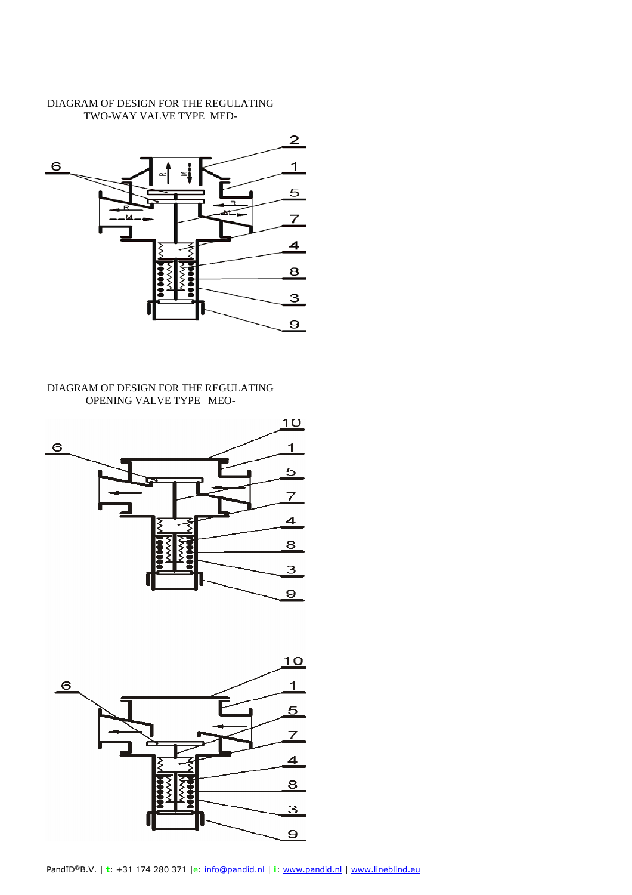# DIAGRAM OF DESIGN FOR THE REGULATING TWO-WAY VALVE TYPE MED-



# DIAGRAM OF DESIGN FOR THE REGULATING OPENING VALVE TYPE MEO-



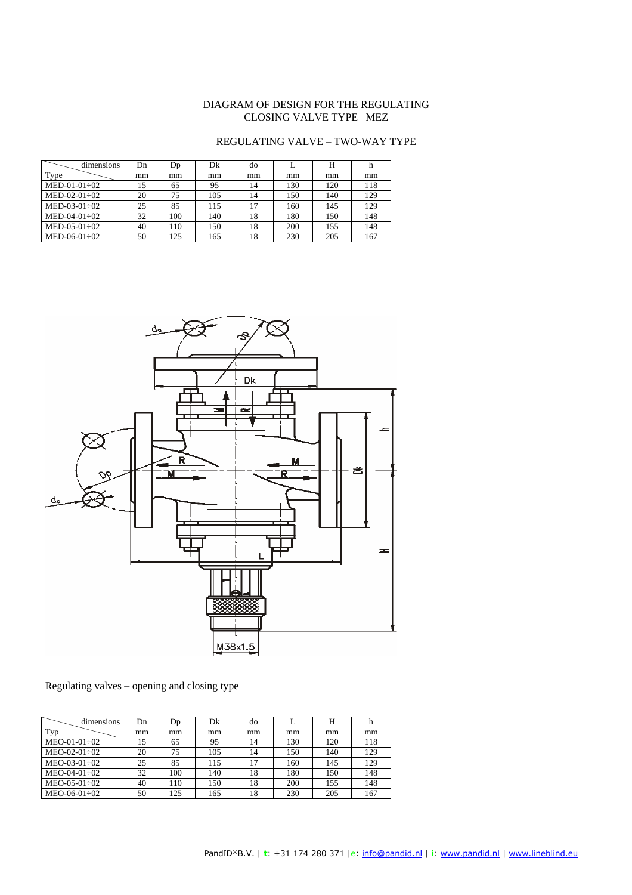# DIAGRAM OF DESIGN FOR THE REGULATING CLOSING VALVE TYPE MEZ

# REGULATING VALVE – TWO-WAY TYPE

| dimensions     | Dn | Dp  | Dk  | do |     | н   |     |
|----------------|----|-----|-----|----|-----|-----|-----|
| Type           | mm | mm  | mm  | mm | mm  | mm  | mm  |
| $MED-01-01-02$ | 15 | 65  | 95  | 14 | 130 | 120 | 118 |
| $MED-02-01-02$ | 20 | 75  | 105 | 14 | 150 | 140 | 129 |
| $MED-03-01-02$ | 25 | 85  | 115 | 17 | 160 | 145 | 129 |
| $MED-04-01-02$ | 32 | 100 | 140 | 18 | 180 | 150 | 148 |
| $MED-05-01-02$ | 40 | 110 | 150 | 18 | 200 | 155 | 148 |
| $MED-06-01-02$ | 50 | 125 | 165 | 18 | 230 | 205 | 167 |



# Regulating valves – opening and closing type

| dimensions     | Dn | Dp  | Dk  | do | L   | н   |     |
|----------------|----|-----|-----|----|-----|-----|-----|
| Typ            | mm | mm  | mm  | mm | mm  | mm  | mm  |
| $MEO-01-01-02$ | 15 | 65  | 95  | 14 | 130 | 120 | 118 |
| $MEO-02-01-02$ | 20 | 75  | 105 | 14 | 150 | 140 | 129 |
| $MEO-03-01-02$ | 25 | 85  | 115 | 17 | 160 | 145 | 129 |
| $MEO-04-01-02$ | 32 | 100 | 140 | 18 | 180 | 150 | 148 |
| $MEO-05-01-02$ | 40 | 110 | 150 | 18 | 200 | 155 | 148 |
| $MEO-06-01-02$ | 50 | 125 | 165 | 18 | 230 | 205 | 167 |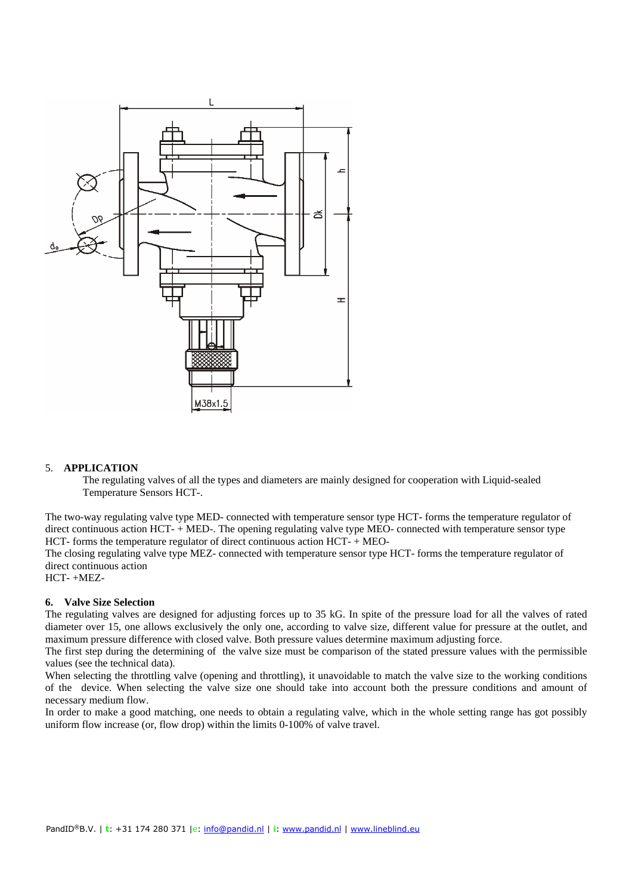

#### 5. **APPLICATION**

The regulating valves of all the types and diameters are mainly designed for cooperation with Liquid-sealed Temperature Sensors HCT-.

The two-way regulating valve type MED- connected with temperature sensor type HCT- forms the temperature regulator of direct continuous action HCT- + MED-. The opening regulating valve type MEO- connected with temperature sensor type HCT- forms the temperature regulator of direct continuous action HCT- + MEO-

The closing regulating valve type MEZ- connected with temperature sensor type HCT- forms the temperature regulator of direct continuous action

HCT- +MEZ-

#### **6. Valve Size Selection**

The regulating valves are designed for adjusting forces up to 35 kG. In spite of the pressure load for all the valves of rated diameter over 15, one allows exclusively the only one, according to valve size, different value for pressure at the outlet, and maximum pressure difference with closed valve. Both pressure values determine maximum adjusting force.

The first step during the determining of the valve size must be comparison of the stated pressure values with the permissible values (see the technical data).

When selecting the throttling valve (opening and throttling), it unavoidable to match the valve size to the working conditions of the device. When selecting the valve size one should take into account both the pressure conditions and amount of necessary medium flow.

In order to make a good matching, one needs to obtain a regulating valve, which in the whole setting range has got possibly uniform flow increase (or, flow drop) within the limits 0-100% of valve travel.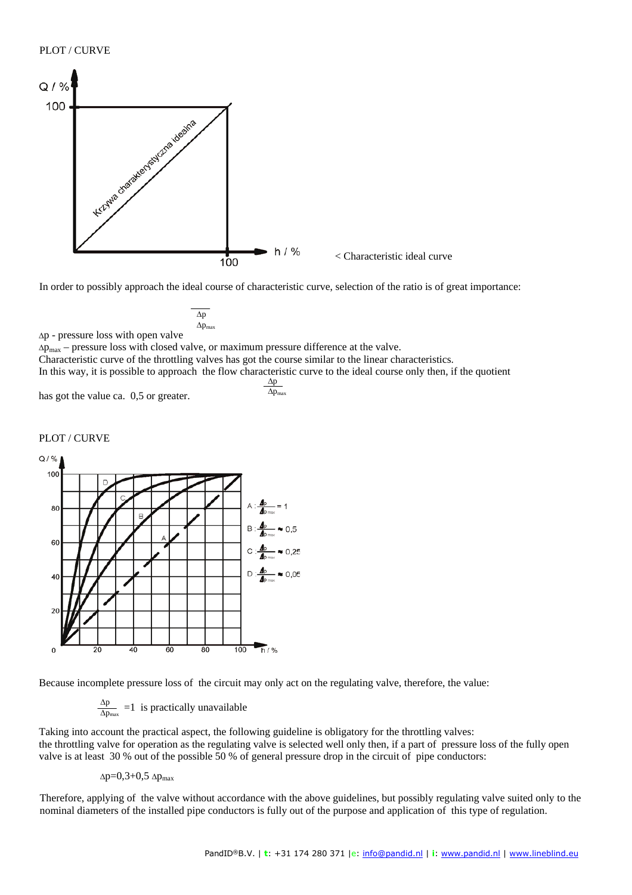### PLOT / CURVE



In order to possibly approach the ideal course of characteristic curve, selection of the ratio is of great importance:

$$
\overline{\Delta p} \over \Delta p_{max}
$$

∆p - pressure loss with open valve

∆pmax – pressure loss with closed valve, or maximum pressure difference at the valve.

Characteristic curve of the throttling valves has got the course similar to the linear characteristics.

In this way, it is possible to approach the flow characteristic curve to the ideal course only then, if the quotient  $\Delta p$ 

has got the value ca. 0,5 or greater.

$$
\frac{\Delta p}{\Delta p_{max}}
$$

### PLOT / CURVE



Because incomplete pressure loss of the circuit may only act on the regulating valve, therefore, the value:

∆p  $\frac{\Delta p}{\Delta p_{\text{max}}}$  =1 is practically unavailable

Taking into account the practical aspect, the following guideline is obligatory for the throttling valves: the throttling valve for operation as the regulating valve is selected well only then, if a part of pressure loss of the fully open valve is at least 30 % out of the possible 50 % of general pressure drop in the circuit of pipe conductors:

 $\Delta p=0,3+0,5 \Delta p_{\text{max}}$ 

Therefore, applying of the valve without accordance with the above guidelines, but possibly regulating valve suited only to the nominal diameters of the installed pipe conductors is fully out of the purpose and application of this type of regulation.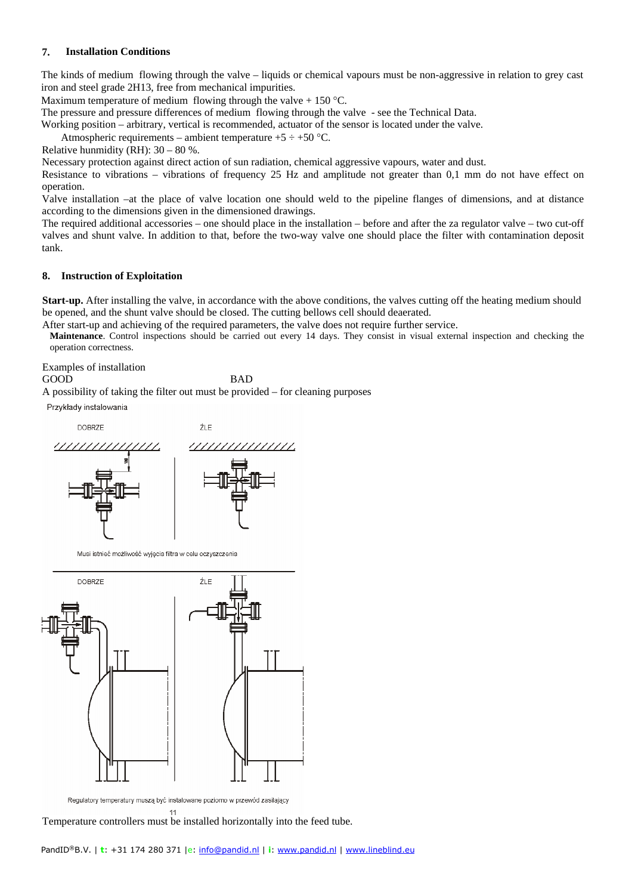#### **7. Installation Conditions**

The kinds of medium flowing through the valve – liquids or chemical vapours must be non-aggressive in relation to grey cast iron and steel grade 2H13, free from mechanical impurities.

Maximum temperature of medium flowing through the valve  $+ 150$  °C.

The pressure and pressure differences of medium flowing through the valve - see the Technical Data.

Working position – arbitrary, vertical is recommended, actuator of the sensor is located under the valve.

Atmospheric requirements – ambient temperature  $+5 \div +50$  °C.

Relative hunmidity (RH):  $30 - 80$  %.

Necessary protection against direct action of sun radiation, chemical aggressive vapours, water and dust.

Resistance to vibrations – vibrations of frequency 25 Hz and amplitude not greater than 0,1 mm do not have effect on operation.

Valve installation –at the place of valve location one should weld to the pipeline flanges of dimensions, and at distance according to the dimensions given in the dimensioned drawings.

The required additional accessories – one should place in the installation – before and after the za regulator valve – two cut-off valves and shunt valve. In addition to that, before the two-way valve one should place the filter with contamination deposit tank.

#### **8. Instruction of Exploitation**

**Start-up.** After installing the valve, in accordance with the above conditions, the valves cutting off the heating medium should be opened, and the shunt valve should be closed. The cutting bellows cell should deaerated.

After start-up and achieving of the required parameters, the valve does not require further service.

**Maintenance**. Control inspections should be carried out every 14 days. They consist in visual external inspection and checking the operation correctness.

Examples of installation

GOOD BAD

A possibility of taking the filter out must be provided – for cleaning purposes

Przykłady instalowania



Musi istnieć możliwość wyjęcia filtra w celu oczyszczenia



Regulatory temperatury muszą być instalowane poziomo w przewód zasilający 11

Temperature controllers must be installed horizontally into the feed tube.